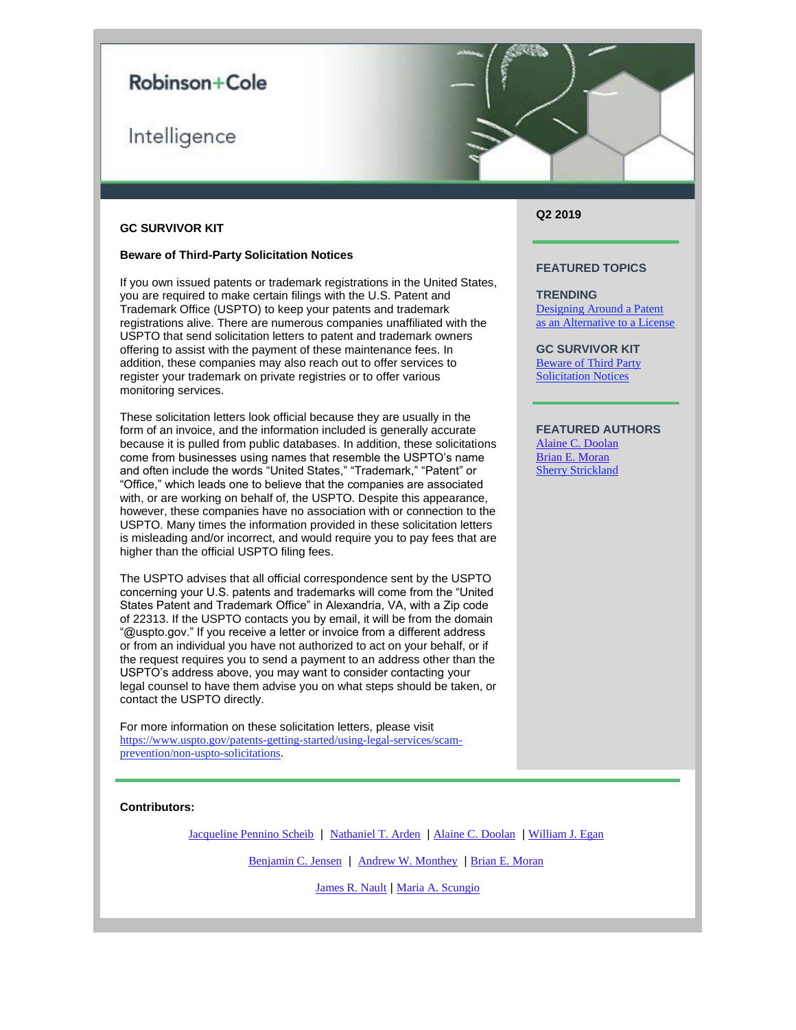# Robinson+Cole

## Intelligence

#### **GC SURVIVOR KIT**

#### **Beware of Third-Party Solicitation Notices**

If you own issued patents or trademark registrations in the United States, you are required to make certain filings with the U.S. Patent and Trademark Office (USPTO) to keep your patents and trademark registrations alive. There are numerous companies unaffiliated with the USPTO that send solicitation letters to patent and trademark owners offering to assist with the payment of these maintenance fees. In addition, these companies may also reach out to offer services to register your trademark on private registries or to offer various monitoring services.

These solicitation letters look official because they are usually in the form of an invoice, and the information included is generally accurate because it is pulled from public databases. In addition, these solicitations come from businesses using names that resemble the USPTO's name and often include the words "United States," "Trademark," "Patent" or "Office," which leads one to believe that the companies are associated with, or are working on behalf of, the USPTO. Despite this appearance, however, these companies have no association with or connection to the USPTO. Many times the information provided in these solicitation letters is misleading and/or incorrect, and would require you to pay fees that are higher than the official USPTO filing fees.

The USPTO advises that all official correspondence sent by the USPTO concerning your U.S. patents and trademarks will come from the "United States Patent and Trademark Office" in Alexandria, VA, with a Zip code of 22313. If the USPTO contacts you by email, it will be from the domain "@uspto.gov." If you receive a letter or invoice from a different address or from an individual you have not authorized to act on your behalf, or if the request requires you to send a payment to an address other than the USPTO's address above, you may want to consider contacting your legal counsel to have them advise you on what steps should be taken, or contact the USPTO directly.

For more information on these solicitation letters, please visit [https://www.uspto.gov/patents-getting-started/using-legal-services/scam](https://protect-us.mimecast.com/s/oOYGCo2mBPSXPom7T1rlRN?domain=uspto.gov)[prevention/non-uspto-solicitations](https://protect-us.mimecast.com/s/oOYGCo2mBPSXPom7T1rlRN?domain=uspto.gov).

#### **Q2 2019**

#### **FEATURED TOPICS**

**TRENDING** [Designing Around a Patent](https://protect-us.mimecast.com/s/qBneCrkpG6CAnNO5fyq13G?domain=files.constantcontact.com)  [as an Alternative to a License](https://protect-us.mimecast.com/s/qBneCrkpG6CAnNO5fyq13G?domain=files.constantcontact.com)

**GC SURVIVOR KIT** [Beware of Third Party](https://protect-us.mimecast.com/s/bNzwCv2wMkSWLBZDCoD8zf?domain=files.constantcontact.com)  [Solicitation Notices](https://protect-us.mimecast.com/s/bNzwCv2wMkSWLBZDCoD8zf?domain=files.constantcontact.com)

### **FEATURED AUTHORS**

[Alaine C. Doolan](https://protect-us.mimecast.com/s/akG3CwpxNlHLVOnDC8NodK?domain=rc.com) [Brian E. Moran](https://protect-us.mimecast.com/s/UhUvCxky0mCJRGj2F2U-OF?domain=rc.com) [Sherry Strickland](mailto:sstrickland@rc.com)

**Contributors:**

[Jacqueline Pennino Scheib](https://protect-us.mimecast.com/s/gt7pCyPz4ntN2j3lTy1goy?domain=rc.com) | [Nathaniel T.](https://protect-us.mimecast.com/s/YQC4CzpA8oHRwPz0HVxWRr?domain=rc.com) Arden | [Alaine C. Doolan](https://protect-us.mimecast.com/s/akG3CwpxNlHLVOnDC8NodK?domain=rc.com) | [William J. Egan](https://protect-us.mimecast.com/s/M-l4CADrLxf9lm5viXlkCy?domain=rc.com)

[Benjamin C. Jensen](https://protect-us.mimecast.com/s/wiFNCBBvMyHVRZNghPlB0_?domain=rc.com) | [Andrew W. Monthey](https://protect-us.mimecast.com/s/YjuYCDkxOACBJ6ZRSLr5Cz?domain=rc.com) | [Brian E. Moran](https://protect-us.mimecast.com/s/UhUvCxky0mCJRGj2F2U-OF?domain=rc.com)

[James R. Nault](https://protect-us.mimecast.com/s/E3RRCERygBtW0AjQCLODml?domain=rc.com) | [Maria A. Scungio](https://protect-us.mimecast.com/s/CcwNCG6AkEfJOy9VFLwuJJ?domain=rc.com)